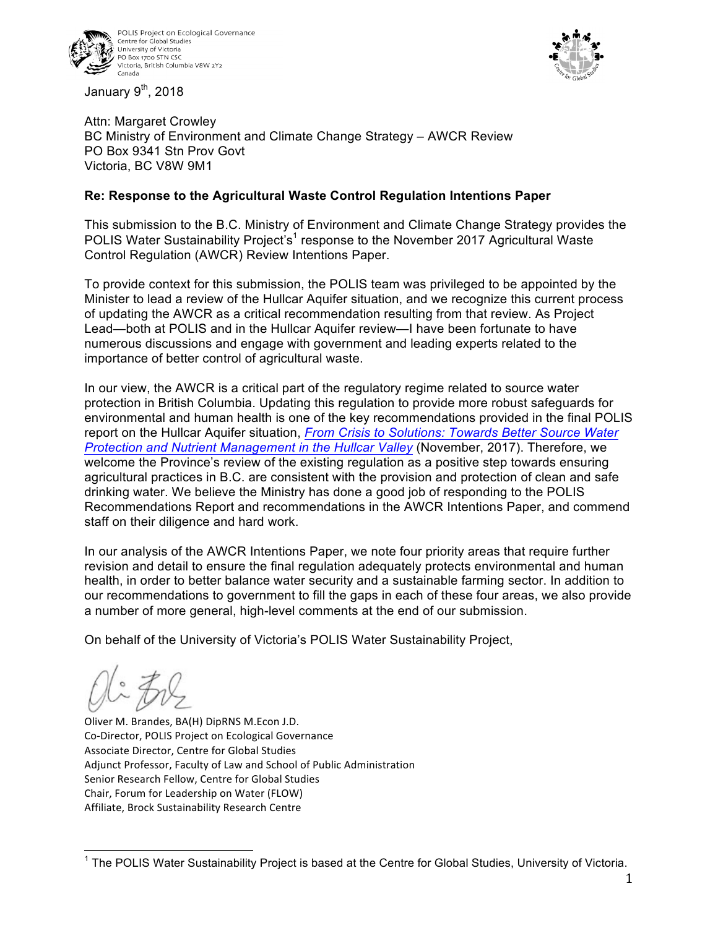





Attn: Margaret Crowley BC Ministry of Environment and Climate Change Strategy – AWCR Review PO Box 9341 Stn Prov Govt Victoria, BC V8W 9M1

### **Re: Response to the Agricultural Waste Control Regulation Intentions Paper**

This submission to the B.C. Ministry of Environment and Climate Change Strategy provides the POLIS Water Sustainability Project's<sup>1</sup> response to the November 2017 Agricultural Waste Control Regulation (AWCR) Review Intentions Paper.

To provide context for this submission, the POLIS team was privileged to be appointed by the Minister to lead a review of the Hullcar Aquifer situation, and we recognize this current process of updating the AWCR as a critical recommendation resulting from that review. As Project Lead—both at POLIS and in the Hullcar Aquifer review—I have been fortunate to have numerous discussions and engage with government and leading experts related to the importance of better control of agricultural waste.

In our view, the AWCR is a critical part of the regulatory regime related to source water protection in British Columbia. Updating this regulation to provide more robust safeguards for environmental and human health is one of the key recommendations provided in the final POLIS report on the Hullcar Aquifer situation, *From Crisis to Solutions: Towards Better Source Water Protection and Nutrient Management in the Hullcar Valley* (November, 2017). Therefore, we welcome the Province's review of the existing regulation as a positive step towards ensuring agricultural practices in B.C. are consistent with the provision and protection of clean and safe drinking water. We believe the Ministry has done a good job of responding to the POLIS Recommendations Report and recommendations in the AWCR Intentions Paper, and commend staff on their diligence and hard work.

In our analysis of the AWCR Intentions Paper, we note four priority areas that require further revision and detail to ensure the final regulation adequately protects environmental and human health, in order to better balance water security and a sustainable farming sector. In addition to our recommendations to government to fill the gaps in each of these four areas, we also provide a number of more general, high-level comments at the end of our submission.

On behalf of the University of Victoria's POLIS Water Sustainability Project,

Oliver M. Brandes, BA(H) DipRNS M.Econ J.D. Co-Director, POLIS Project on Ecological Governance Associate Director, Centre for Global Studies Adjunct Professor, Faculty of Law and School of Public Administration Senior Research Fellow, Centre for Global Studies Chair, Forum for Leadership on Water (FLOW) Affiliate, Brock Sustainability Research Centre

<sup>&</sup>lt;sup>1</sup> The POLIS Water Sustainability Project is based at the Centre for Global Studies, University of Victoria.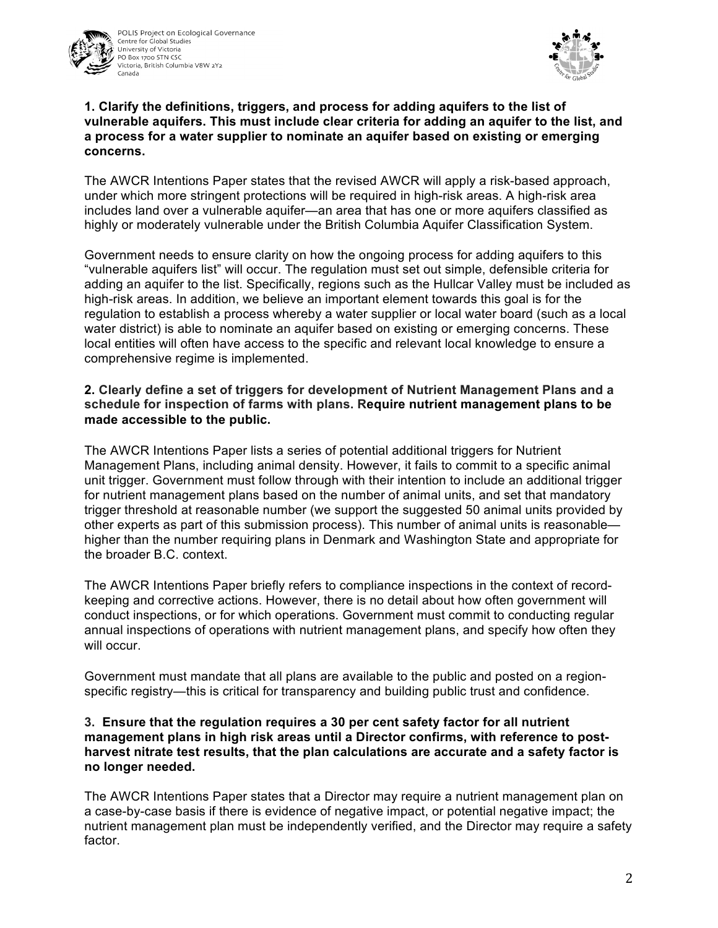



### **1. Clarify the definitions, triggers, and process for adding aquifers to the list of vulnerable aquifers. This must include clear criteria for adding an aquifer to the list, and a process for a water supplier to nominate an aquifer based on existing or emerging concerns.**

The AWCR Intentions Paper states that the revised AWCR will apply a risk-based approach, under which more stringent protections will be required in high-risk areas. A high-risk area includes land over a vulnerable aquifer—an area that has one or more aquifers classified as highly or moderately vulnerable under the British Columbia Aquifer Classification System.

Government needs to ensure clarity on how the ongoing process for adding aquifers to this "vulnerable aquifers list" will occur. The regulation must set out simple, defensible criteria for adding an aquifer to the list. Specifically, regions such as the Hullcar Valley must be included as high-risk areas. In addition, we believe an important element towards this goal is for the regulation to establish a process whereby a water supplier or local water board (such as a local water district) is able to nominate an aquifer based on existing or emerging concerns. These local entities will often have access to the specific and relevant local knowledge to ensure a comprehensive regime is implemented.

## **2. Clearly define a set of triggers for development of Nutrient Management Plans and a schedule for inspection of farms with plans. Require nutrient management plans to be made accessible to the public.**

The AWCR Intentions Paper lists a series of potential additional triggers for Nutrient Management Plans, including animal density. However, it fails to commit to a specific animal unit trigger. Government must follow through with their intention to include an additional trigger for nutrient management plans based on the number of animal units, and set that mandatory trigger threshold at reasonable number (we support the suggested 50 animal units provided by other experts as part of this submission process). This number of animal units is reasonable higher than the number requiring plans in Denmark and Washington State and appropriate for the broader B.C. context.

The AWCR Intentions Paper briefly refers to compliance inspections in the context of recordkeeping and corrective actions. However, there is no detail about how often government will conduct inspections, or for which operations. Government must commit to conducting regular annual inspections of operations with nutrient management plans, and specify how often they will occur.

Government must mandate that all plans are available to the public and posted on a regionspecific registry—this is critical for transparency and building public trust and confidence.

#### **3. Ensure that the regulation requires a 30 per cent safety factor for all nutrient management plans in high risk areas until a Director confirms, with reference to postharvest nitrate test results, that the plan calculations are accurate and a safety factor is no longer needed.**

The AWCR Intentions Paper states that a Director may require a nutrient management plan on a case-by-case basis if there is evidence of negative impact, or potential negative impact; the nutrient management plan must be independently verified, and the Director may require a safety factor.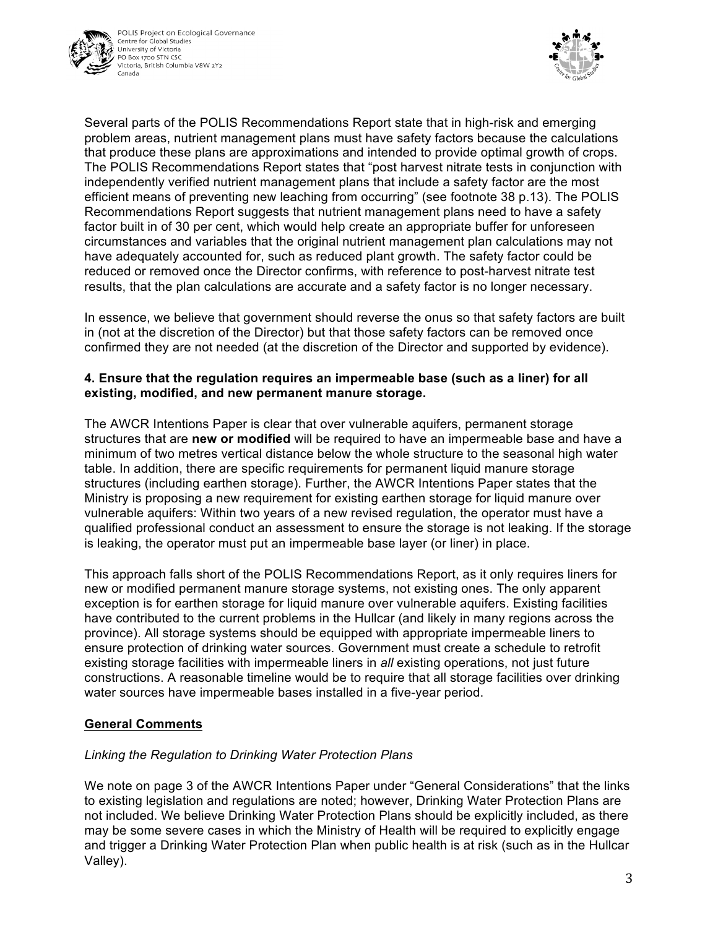



Several parts of the POLIS Recommendations Report state that in high-risk and emerging problem areas, nutrient management plans must have safety factors because the calculations that produce these plans are approximations and intended to provide optimal growth of crops. The POLIS Recommendations Report states that "post harvest nitrate tests in conjunction with independently verified nutrient management plans that include a safety factor are the most efficient means of preventing new leaching from occurring" (see footnote 38 p.13). The POLIS Recommendations Report suggests that nutrient management plans need to have a safety factor built in of 30 per cent, which would help create an appropriate buffer for unforeseen circumstances and variables that the original nutrient management plan calculations may not have adequately accounted for, such as reduced plant growth. The safety factor could be reduced or removed once the Director confirms, with reference to post-harvest nitrate test results, that the plan calculations are accurate and a safety factor is no longer necessary.

In essence, we believe that government should reverse the onus so that safety factors are built in (not at the discretion of the Director) but that those safety factors can be removed once confirmed they are not needed (at the discretion of the Director and supported by evidence).

## **4. Ensure that the regulation requires an impermeable base (such as a liner) for all existing, modified, and new permanent manure storage.**

The AWCR Intentions Paper is clear that over vulnerable aquifers, permanent storage structures that are **new or modified** will be required to have an impermeable base and have a minimum of two metres vertical distance below the whole structure to the seasonal high water table. In addition, there are specific requirements for permanent liquid manure storage structures (including earthen storage). Further, the AWCR Intentions Paper states that the Ministry is proposing a new requirement for existing earthen storage for liquid manure over vulnerable aquifers: Within two years of a new revised regulation, the operator must have a qualified professional conduct an assessment to ensure the storage is not leaking. If the storage is leaking, the operator must put an impermeable base layer (or liner) in place.

This approach falls short of the POLIS Recommendations Report, as it only requires liners for new or modified permanent manure storage systems, not existing ones. The only apparent exception is for earthen storage for liquid manure over vulnerable aquifers. Existing facilities have contributed to the current problems in the Hullcar (and likely in many regions across the province). All storage systems should be equipped with appropriate impermeable liners to ensure protection of drinking water sources. Government must create a schedule to retrofit existing storage facilities with impermeable liners in *all* existing operations, not just future constructions. A reasonable timeline would be to require that all storage facilities over drinking water sources have impermeable bases installed in a five-year period.

# **General Comments**

# *Linking the Regulation to Drinking Water Protection Plans*

We note on page 3 of the AWCR Intentions Paper under "General Considerations" that the links to existing legislation and regulations are noted; however, Drinking Water Protection Plans are not included. We believe Drinking Water Protection Plans should be explicitly included, as there may be some severe cases in which the Ministry of Health will be required to explicitly engage and trigger a Drinking Water Protection Plan when public health is at risk (such as in the Hullcar Valley).